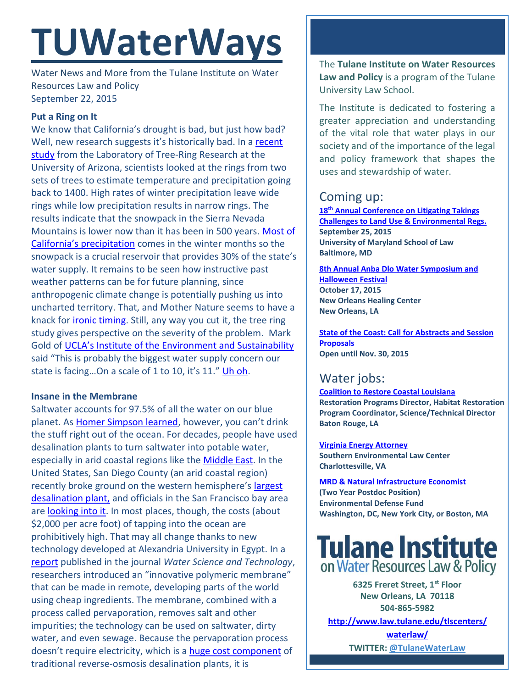# **TUWaterWays**

Water News and More from the Tulane Institute on Water Resources Law and Policy September 22, 2015

## **Put a Ring on It**

We know that California's drought is bad, but just how bad? Well, new research suggests it's historically bad. In a recent [study](http://www.nature.com/nclimate/journal/vaop/ncurrent/full/nclimate2809.html) from the Laboratory of Tree-Ring Research at the University of Arizona, scientists looked at the rings from two sets of trees to estimate temperature and precipitation going back to 1400. High rates of winter precipitation leave wide rings while low precipitation results in narrow rings. The results indicate that the snowpack in the Sierra Nevada Mountains is lower now than it has been in 500 years. [Most of](http://www.usclimatedata.com/climate/california/united-states/3174)  [California's precipitation](http://www.usclimatedata.com/climate/california/united-states/3174) comes in the winter months so the snowpack is a crucial reservoir that provides 30% of the state's water supply. It remains to be seen how instructive past weather patterns can be for future planning, since anthropogenic climate change is potentially pushing us into uncharted territory. That, and Mother Nature seems to have a knack for [ironic timing.](http://blog.sfgate.com/hottopics/2015/09/16/snow-falls-in-california-one-day-after-report-about-lack-of-snow-internet-goes-wild/) Still, any way you cut it, the tree ring study gives perspective on the severity of the problem. Mark Gold of [UCLA's Institute of the Environment and Sustainability](http://www.environment.ucla.edu/about/) said "This is probably the biggest water supply concern our state is facing...On a scale of 1 to 10, it's 11." [Uh oh.](http://www.youtube.com/watch?v=4m1EFMoRFvY&t=0m42s)

#### **Insane in the Membrane**

Saltwater accounts for 97.5% of all the water on our blue planet. As **Homer Simpson learned**, however, you can't drink the stuff right out of the ocean. For decades, people have used desalination plants to turn saltwater into potable water, especially in arid coastal regions like the [Middle East.](http://hbfreshwater.com/desalination-101/desalination-worldwide) In the United States, San Diego County (an arid coastal region) recently broke ground on the western hemisphere's [largest](http://www.mercurynews.com/science/ci_25859513/nations-largest-ocean-desalination-plant-goes-up-near)  [desalination plant,](http://www.mercurynews.com/science/ci_25859513/nations-largest-ocean-desalination-plant-goes-up-near) and officials in the San Francisco bay area are [looking into it.](http://www.mercurynews.com/drought/ci_27861065/santa-clara-county-supervisor-sees-desalination-bay-areas?source=pkg) In most places, though, the costs (about \$2,000 per acre foot) of tapping into the ocean are prohibitively high. That may all change thanks to new technology developed at Alexandria University in Egypt. In a [report](http://www.iwaponline.com/wst/07205/wst072050785.htm) published in the journal *Water Science and Technology*, researchers introduced an "innovative polymeric membrane" that can be made in remote, developing parts of the world using cheap ingredients. The membrane, combined with a process called pervaporation, removes salt and other impurities; the technology can be used on saltwater, dirty water, and even sewage. Because the pervaporation process doesn't require electricity, which is a [huge cost component](http://www.pri.org/stories/2015-05-15/desalination-expensive-energy-hog-improvements-are-way) of traditional reverse-osmosis desalination plants, it is

The **Tulane Institute on Water Resources Law and Policy** is a program of the Tulane University Law School.

The Institute is dedicated to fostering a greater appreciation and understanding of the vital role that water plays in our society and of the importance of the legal and policy framework that shapes the uses and stewardship of water.

## Coming up:

**18th [Annual Conference on Litigating Takings](http://forms.vermontlaw.edu/elc/landuse/Takings15/)  [Challenges to Land Use & Environmental Regs.](http://forms.vermontlaw.edu/elc/landuse/Takings15/) September 25, 2015 University of Maryland School of Law Baltimore, MD**

**8th Annual Anba Dlo [Water Symposium and](http://www.anbadlofestival.org/#!water-symposium/c6ra)  [Halloween Festival](http://www.anbadlofestival.org/#!water-symposium/c6ra) October 17, 2015 New Orleans Healing Center New Orleans, LA**

**[State of the Coast: Call for Abstracts and Session](http://stateofthecoast.org/general-information/general-information.html)  [Proposals](http://stateofthecoast.org/general-information/general-information.html) Open until Nov. 30, 2015**

## Water jobs:

**[Coalition to Restore Coastal Louisiana](http://crcl.org/about-us/employment-opportunities-menu.html) Restoration Programs Director, Habitat Restoration Program Coordinator, Science/Technical Director Baton Rouge, LA**

**[Virginia Energy Attorney](http://50.87.248.195/~vcnvaorg/?p=346) Southern Environmental Law Center Charlottesville, VA**

**[MRD & Natural Infrastructure Economist](https://www.edf.org/jobs/mississippi-river-delta-and-natural-infrastructure-economist-2-year-post-doctoral-position) (Two Year Postdoc Position) Environmental Defense Fund Washington, DC, New York City, or Boston, MA**



**6325 Freret Street, 1st Floor New Orleans, LA 70118 504-865-5982** 

**[http://www.law.tulane.edu/tlscenters/](http://www.law.tulane.edu/tlscenters/waterlaw/)**

**[waterlaw/](http://www.law.tulane.edu/tlscenters/waterlaw/) TWITTER: [@TulaneWaterLaw](http://www.twitter.com/TulaneWaterLaw)**